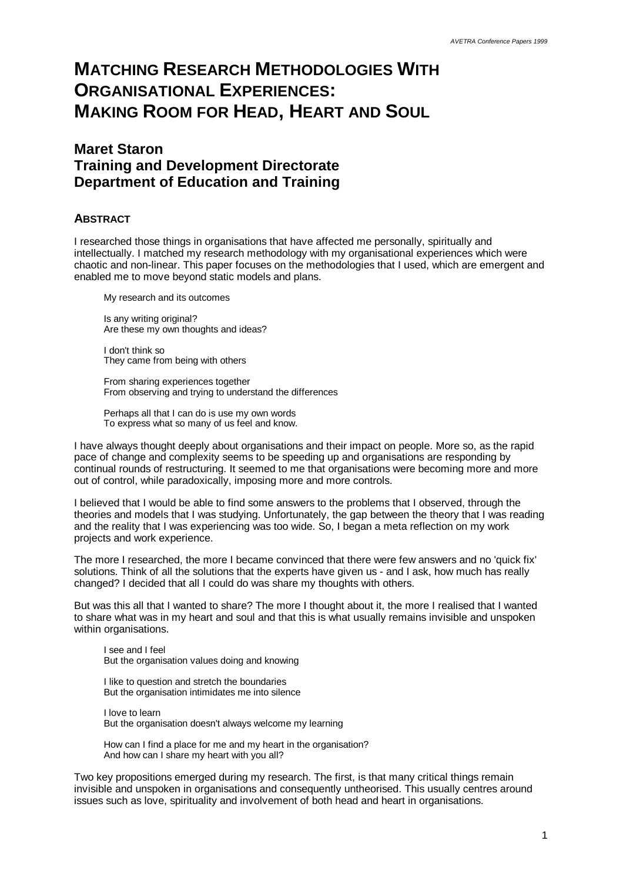# **MATCHING RESEARCH METHODOLOGIES WITH ORGANISATIONAL EXPERIENCES: MAKING ROOM FOR HEAD, HEART AND SOUL**

### **Maret Staron Training and Development Directorate Department of Education and Training**

#### **ABSTRACT**

I researched those things in organisations that have affected me personally, spiritually and intellectually. I matched my research methodology with my organisational experiences which were chaotic and non-linear. This paper focuses on the methodologies that I used, which are emergent and enabled me to move beyond static models and plans.

My research and its outcomes

Is any writing original? Are these my own thoughts and ideas?

I don't think so They came from being with others

From sharing experiences together From observing and trying to understand the differences

Perhaps all that I can do is use my own words To express what so many of us feel and know.

I have always thought deeply about organisations and their impact on people. More so, as the rapid pace of change and complexity seems to be speeding up and organisations are responding by continual rounds of restructuring. It seemed to me that organisations were becoming more and more out of control, while paradoxically, imposing more and more controls.

I believed that I would be able to find some answers to the problems that I observed, through the theories and models that I was studying. Unfortunately, the gap between the theory that I was reading and the reality that I was experiencing was too wide. So, I began a meta reflection on my work projects and work experience.

The more I researched, the more I became convinced that there were few answers and no 'quick fix' solutions. Think of all the solutions that the experts have given us - and I ask, how much has really changed? I decided that all I could do was share my thoughts with others.

But was this all that I wanted to share? The more I thought about it, the more I realised that I wanted to share what was in my heart and soul and that this is what usually remains invisible and unspoken within organisations.

I see and I feel But the organisation values doing and knowing

I like to question and stretch the boundaries But the organisation intimidates me into silence

I love to learn But the organisation doesn't always welcome my learning

How can I find a place for me and my heart in the organisation? And how can I share my heart with you all?

Two key propositions emerged during my research. The first, is that many critical things remain invisible and unspoken in organisations and consequently untheorised. This usually centres around issues such as love, spirituality and involvement of both head and heart in organisations.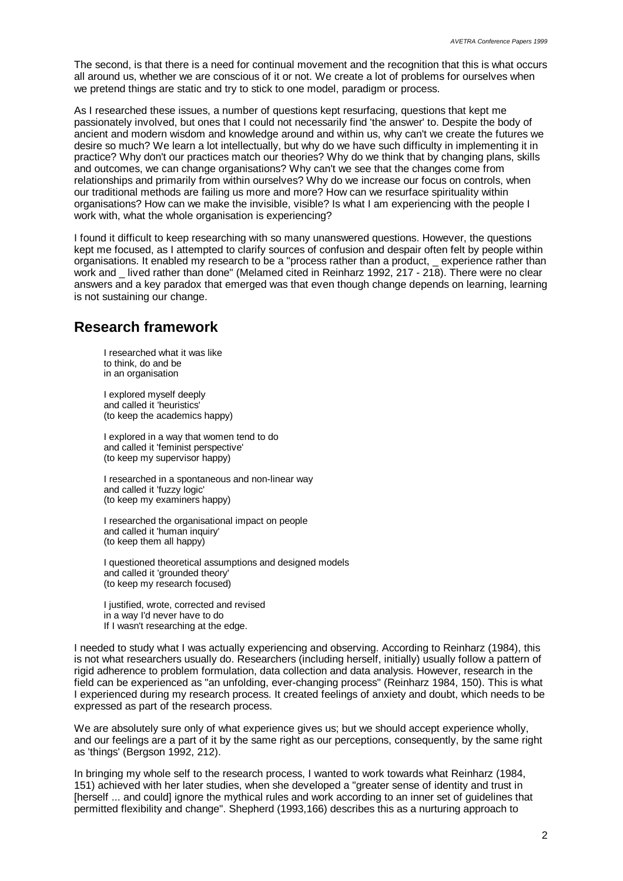The second, is that there is a need for continual movement and the recognition that this is what occurs all around us, whether we are conscious of it or not. We create a lot of problems for ourselves when we pretend things are static and try to stick to one model, paradigm or process.

As I researched these issues, a number of questions kept resurfacing, questions that kept me passionately involved, but ones that I could not necessarily find 'the answer' to. Despite the body of ancient and modern wisdom and knowledge around and within us, why can't we create the futures we desire so much? We learn a lot intellectually, but why do we have such difficulty in implementing it in practice? Why don't our practices match our theories? Why do we think that by changing plans, skills and outcomes, we can change organisations? Why can't we see that the changes come from relationships and primarily from within ourselves? Why do we increase our focus on controls, when our traditional methods are failing us more and more? How can we resurface spirituality within organisations? How can we make the invisible, visible? Is what I am experiencing with the people I work with, what the whole organisation is experiencing?

I found it difficult to keep researching with so many unanswered questions. However, the questions kept me focused, as I attempted to clarify sources of confusion and despair often felt by people within organisations. It enabled my research to be a "process rather than a product, \_ experience rather than work and lived rather than done" (Melamed cited in Reinharz 1992, 217 - 218). There were no clear answers and a key paradox that emerged was that even though change depends on learning, learning is not sustaining our change.

## **Research framework**

I researched what it was like to think, do and be in an organisation

I explored myself deeply and called it 'heuristics' (to keep the academics happy)

I explored in a way that women tend to do and called it 'feminist perspective' (to keep my supervisor happy)

I researched in a spontaneous and non-linear way and called it 'fuzzy logic' (to keep my examiners happy)

I researched the organisational impact on people and called it 'human inquiry' (to keep them all happy)

I questioned theoretical assumptions and designed models and called it 'grounded theory' (to keep my research focused)

I justified, wrote, corrected and revised in a way I'd never have to do If I wasn't researching at the edge.

I needed to study what I was actually experiencing and observing. According to Reinharz (1984), this is not what researchers usually do. Researchers (including herself, initially) usually follow a pattern of rigid adherence to problem formulation, data collection and data analysis. However, research in the field can be experienced as "an unfolding, ever-changing process" (Reinharz 1984, 150). This is what I experienced during my research process. It created feelings of anxiety and doubt, which needs to be expressed as part of the research process.

We are absolutely sure only of what experience gives us; but we should accept experience wholly, and our feelings are a part of it by the same right as our perceptions, consequently, by the same right as 'things' (Bergson 1992, 212).

In bringing my whole self to the research process, I wanted to work towards what Reinharz (1984, 151) achieved with her later studies, when she developed a "greater sense of identity and trust in [herself ... and could] ignore the mythical rules and work according to an inner set of guidelines that permitted flexibility and change". Shepherd (1993,166) describes this as a nurturing approach to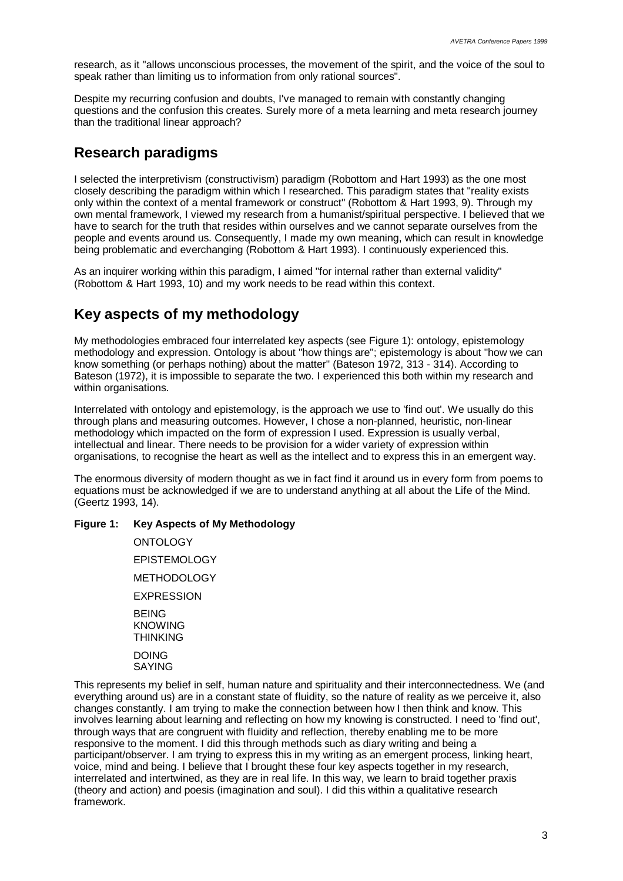research, as it "allows unconscious processes, the movement of the spirit, and the voice of the soul to speak rather than limiting us to information from only rational sources".

Despite my recurring confusion and doubts, I've managed to remain with constantly changing questions and the confusion this creates. Surely more of a meta learning and meta research journey than the traditional linear approach?

### **Research paradigms**

I selected the interpretivism (constructivism) paradigm (Robottom and Hart 1993) as the one most closely describing the paradigm within which I researched. This paradigm states that "reality exists only within the context of a mental framework or construct" (Robottom & Hart 1993, 9). Through my own mental framework, I viewed my research from a humanist/spiritual perspective. I believed that we have to search for the truth that resides within ourselves and we cannot separate ourselves from the people and events around us. Consequently, I made my own meaning, which can result in knowledge being problematic and everchanging (Robottom & Hart 1993). I continuously experienced this.

As an inquirer working within this paradigm, I aimed "for internal rather than external validity" (Robottom & Hart 1993, 10) and my work needs to be read within this context.

## **Key aspects of my methodology**

My methodologies embraced four interrelated key aspects (see Figure 1): ontology, epistemology methodology and expression. Ontology is about "how things are"; epistemology is about "how we can know something (or perhaps nothing) about the matter" (Bateson 1972, 313 - 314). According to Bateson (1972), it is impossible to separate the two. I experienced this both within my research and within organisations.

Interrelated with ontology and epistemology, is the approach we use to 'find out'. We usually do this through plans and measuring outcomes. However, I chose a non-planned, heuristic, non-linear methodology which impacted on the form of expression I used. Expression is usually verbal, intellectual and linear. There needs to be provision for a wider variety of expression within organisations, to recognise the heart as well as the intellect and to express this in an emergent way.

The enormous diversity of modern thought as we in fact find it around us in every form from poems to equations must be acknowledged if we are to understand anything at all about the Life of the Mind. (Geertz 1993, 14).

#### **Figure 1: Key Aspects of My Methodology**

**ONTOLOGY** EPISTEMOLOGY **METHODOLOGY EXPRESSION** BEING KNOWING **THINKING** DOING SAYING

This represents my belief in self, human nature and spirituality and their interconnectedness. We (and everything around us) are in a constant state of fluidity, so the nature of reality as we perceive it, also changes constantly. I am trying to make the connection between how I then think and know. This involves learning about learning and reflecting on how my knowing is constructed. I need to 'find out', through ways that are congruent with fluidity and reflection, thereby enabling me to be more responsive to the moment. I did this through methods such as diary writing and being a participant/observer. I am trying to express this in my writing as an emergent process, linking heart, voice, mind and being. I believe that I brought these four key aspects together in my research, interrelated and intertwined, as they are in real life. In this way, we learn to braid together praxis (theory and action) and poesis (imagination and soul). I did this within a qualitative research framework.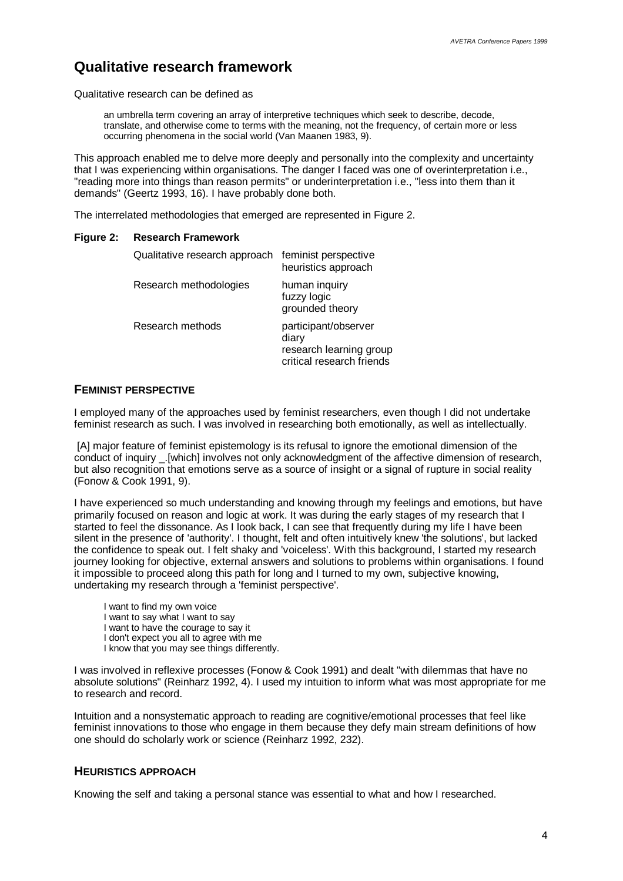### **Qualitative research framework**

Qualitative research can be defined as

an umbrella term covering an array of interpretive techniques which seek to describe, decode, translate, and otherwise come to terms with the meaning, not the frequency, of certain more or less occurring phenomena in the social world (Van Maanen 1983, 9).

This approach enabled me to delve more deeply and personally into the complexity and uncertainty that I was experiencing within organisations. The danger I faced was one of overinterpretation i.e., "reading more into things than reason permits" or underinterpretation i.e., "less into them than it demands" (Geertz 1993, 16). I have probably done both.

The interrelated methodologies that emerged are represented in Figure 2.

#### **Figure 2: Research Framework**

| Qualitative research approach | feminist perspective<br>heuristics approach                                           |
|-------------------------------|---------------------------------------------------------------------------------------|
| Research methodologies        | human inquiry<br>fuzzy logic<br>grounded theory                                       |
| Research methods              | participant/observer<br>diary<br>research learning group<br>critical research friends |

#### **FEMINIST PERSPECTIVE**

I employed many of the approaches used by feminist researchers, even though I did not undertake feminist research as such. I was involved in researching both emotionally, as well as intellectually.

 [A] major feature of feminist epistemology is its refusal to ignore the emotional dimension of the conduct of inquiry \_.[which] involves not only acknowledgment of the affective dimension of research, but also recognition that emotions serve as a source of insight or a signal of rupture in social reality (Fonow & Cook 1991, 9).

I have experienced so much understanding and knowing through my feelings and emotions, but have primarily focused on reason and logic at work. It was during the early stages of my research that I started to feel the dissonance. As I look back, I can see that frequently during my life I have been silent in the presence of 'authority'. I thought, felt and often intuitively knew 'the solutions', but lacked the confidence to speak out. I felt shaky and 'voiceless'. With this background, I started my research journey looking for objective, external answers and solutions to problems within organisations. I found it impossible to proceed along this path for long and I turned to my own, subjective knowing, undertaking my research through a 'feminist perspective'.

I want to find my own voice I want to say what I want to say I want to have the courage to say it I don't expect you all to agree with me I know that you may see things differently.

I was involved in reflexive processes (Fonow & Cook 1991) and dealt "with dilemmas that have no absolute solutions" (Reinharz 1992, 4). I used my intuition to inform what was most appropriate for me to research and record.

Intuition and a nonsystematic approach to reading are cognitive/emotional processes that feel like feminist innovations to those who engage in them because they defy main stream definitions of how one should do scholarly work or science (Reinharz 1992, 232).

#### **HEURISTICS APPROACH**

Knowing the self and taking a personal stance was essential to what and how I researched.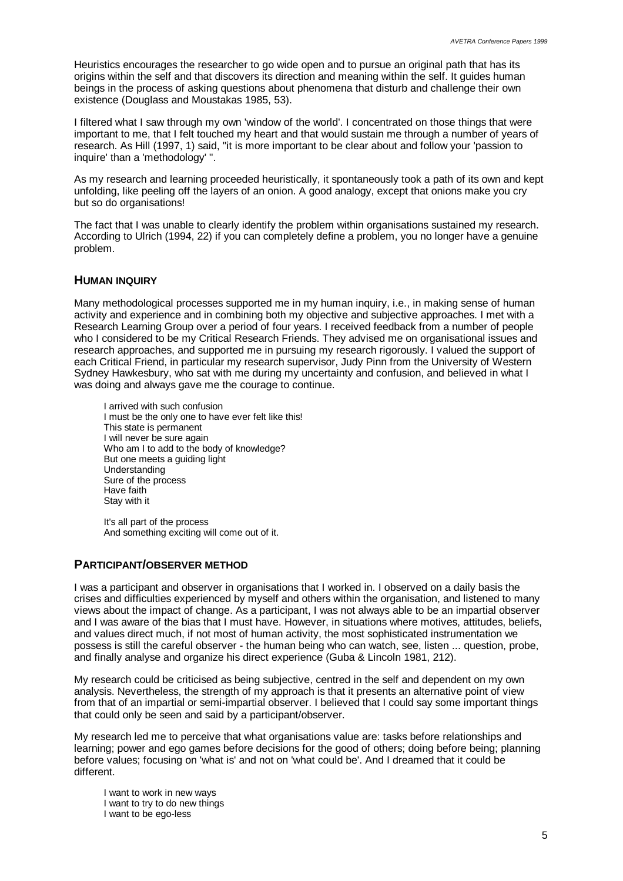Heuristics encourages the researcher to go wide open and to pursue an original path that has its origins within the self and that discovers its direction and meaning within the self. It guides human beings in the process of asking questions about phenomena that disturb and challenge their own existence (Douglass and Moustakas 1985, 53).

I filtered what I saw through my own 'window of the world'. I concentrated on those things that were important to me, that I felt touched my heart and that would sustain me through a number of years of research. As Hill (1997, 1) said, "it is more important to be clear about and follow your 'passion to inquire' than a 'methodology' ".

As my research and learning proceeded heuristically, it spontaneously took a path of its own and kept unfolding, like peeling off the layers of an onion. A good analogy, except that onions make you cry but so do organisations!

The fact that I was unable to clearly identify the problem within organisations sustained my research. According to Ulrich (1994, 22) if you can completely define a problem, you no longer have a genuine problem.

#### **HUMAN INQUIRY**

Many methodological processes supported me in my human inquiry, i.e., in making sense of human activity and experience and in combining both my objective and subjective approaches. I met with a Research Learning Group over a period of four years. I received feedback from a number of people who I considered to be my Critical Research Friends. They advised me on organisational issues and research approaches, and supported me in pursuing my research rigorously. I valued the support of each Critical Friend, in particular my research supervisor, Judy Pinn from the University of Western Sydney Hawkesbury, who sat with me during my uncertainty and confusion, and believed in what I was doing and always gave me the courage to continue.

I arrived with such confusion I must be the only one to have ever felt like this! This state is permanent I will never be sure again Who am I to add to the body of knowledge? But one meets a quiding light Understanding Sure of the process Have faith Stay with it

It's all part of the process And something exciting will come out of it.

### **PARTICIPANT/OBSERVER METHOD**

I was a participant and observer in organisations that I worked in. I observed on a daily basis the crises and difficulties experienced by myself and others within the organisation, and listened to many views about the impact of change. As a participant, I was not always able to be an impartial observer and I was aware of the bias that I must have. However, in situations where motives, attitudes, beliefs, and values direct much, if not most of human activity, the most sophisticated instrumentation we possess is still the careful observer - the human being who can watch, see, listen ... question, probe, and finally analyse and organize his direct experience (Guba & Lincoln 1981, 212).

My research could be criticised as being subjective, centred in the self and dependent on my own analysis. Nevertheless, the strength of my approach is that it presents an alternative point of view from that of an impartial or semi-impartial observer. I believed that I could say some important things that could only be seen and said by a participant/observer.

My research led me to perceive that what organisations value are: tasks before relationships and learning; power and ego games before decisions for the good of others; doing before being; planning before values; focusing on 'what is' and not on 'what could be'. And I dreamed that it could be different.

I want to work in new ways I want to try to do new things I want to be ego-less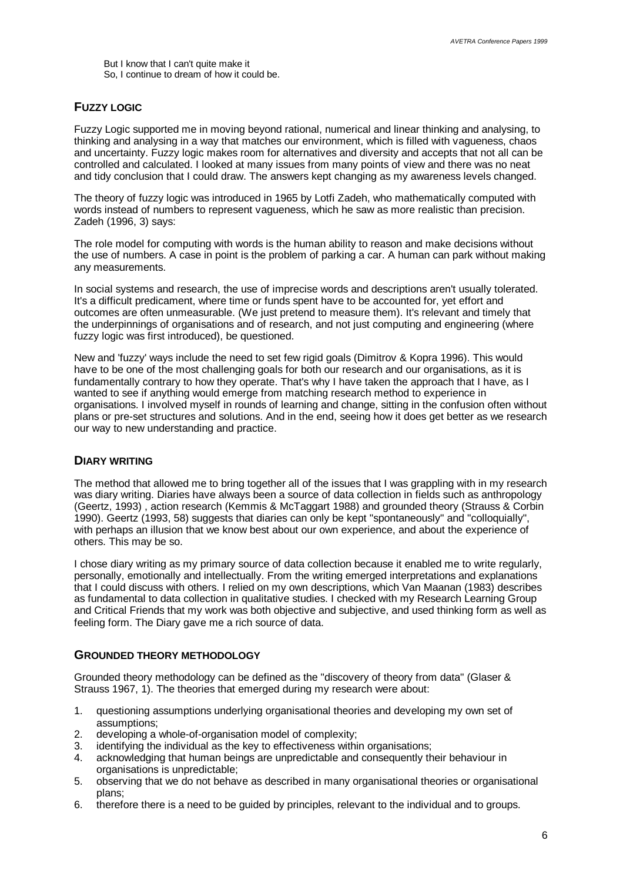But I know that I can't quite make it So, I continue to dream of how it could be.

#### **FUZZY LOGIC**

Fuzzy Logic supported me in moving beyond rational, numerical and linear thinking and analysing, to thinking and analysing in a way that matches our environment, which is filled with vagueness, chaos and uncertainty. Fuzzy logic makes room for alternatives and diversity and accepts that not all can be controlled and calculated. I looked at many issues from many points of view and there was no neat and tidy conclusion that I could draw. The answers kept changing as my awareness levels changed.

The theory of fuzzy logic was introduced in 1965 by Lotfi Zadeh, who mathematically computed with words instead of numbers to represent vagueness, which he saw as more realistic than precision. Zadeh (1996, 3) says:

The role model for computing with words is the human ability to reason and make decisions without the use of numbers. A case in point is the problem of parking a car. A human can park without making any measurements.

In social systems and research, the use of imprecise words and descriptions aren't usually tolerated. It's a difficult predicament, where time or funds spent have to be accounted for, yet effort and outcomes are often unmeasurable. (We just pretend to measure them). It's relevant and timely that the underpinnings of organisations and of research, and not just computing and engineering (where fuzzy logic was first introduced), be questioned.

New and 'fuzzy' ways include the need to set few rigid goals (Dimitrov & Kopra 1996). This would have to be one of the most challenging goals for both our research and our organisations, as it is fundamentally contrary to how they operate. That's why I have taken the approach that I have, as I wanted to see if anything would emerge from matching research method to experience in organisations. I involved myself in rounds of learning and change, sitting in the confusion often without plans or pre-set structures and solutions. And in the end, seeing how it does get better as we research our way to new understanding and practice.

#### **DIARY WRITING**

The method that allowed me to bring together all of the issues that I was grappling with in my research was diary writing. Diaries have always been a source of data collection in fields such as anthropology (Geertz, 1993) , action research (Kemmis & McTaggart 1988) and grounded theory (Strauss & Corbin 1990). Geertz (1993, 58) suggests that diaries can only be kept "spontaneously" and "colloquially", with perhaps an illusion that we know best about our own experience, and about the experience of others. This may be so.

I chose diary writing as my primary source of data collection because it enabled me to write regularly, personally, emotionally and intellectually. From the writing emerged interpretations and explanations that I could discuss with others. I relied on my own descriptions, which Van Maanan (1983) describes as fundamental to data collection in qualitative studies. I checked with my Research Learning Group and Critical Friends that my work was both objective and subjective, and used thinking form as well as feeling form. The Diary gave me a rich source of data.

### **GROUNDED THEORY METHODOLOGY**

Grounded theory methodology can be defined as the "discovery of theory from data" (Glaser & Strauss 1967, 1). The theories that emerged during my research were about:

- 1. questioning assumptions underlying organisational theories and developing my own set of assumptions;
- 2. developing a whole-of-organisation model of complexity;
- 3. identifying the individual as the key to effectiveness within organisations;
- 4. acknowledging that human beings are unpredictable and consequently their behaviour in organisations is unpredictable;
- 5. observing that we do not behave as described in many organisational theories or organisational plans;
- 6. therefore there is a need to be guided by principles, relevant to the individual and to groups.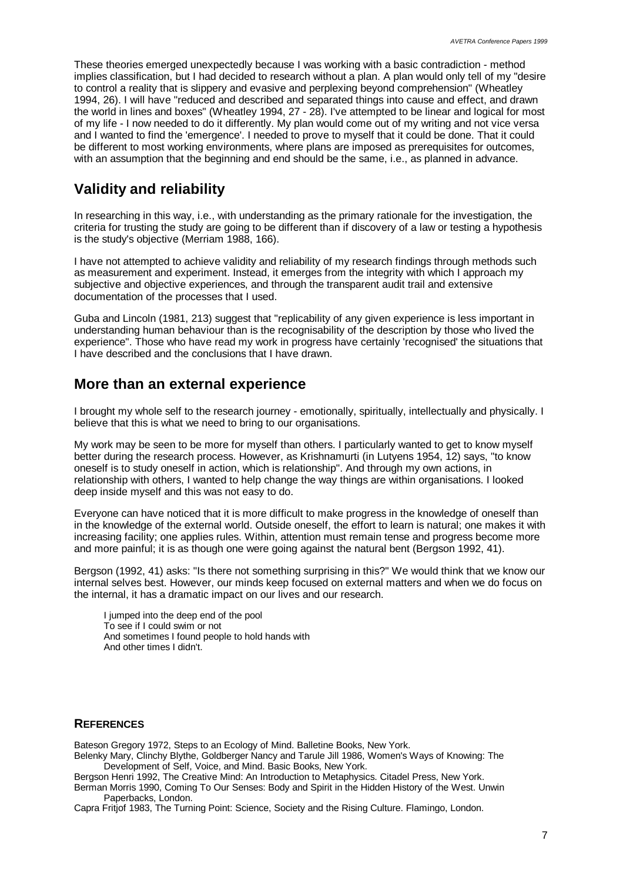These theories emerged unexpectedly because I was working with a basic contradiction - method implies classification, but I had decided to research without a plan. A plan would only tell of my "desire to control a reality that is slippery and evasive and perplexing beyond comprehension" (Wheatley 1994, 26). I will have "reduced and described and separated things into cause and effect, and drawn the world in lines and boxes" (Wheatley 1994, 27 - 28). I've attempted to be linear and logical for most of my life - I now needed to do it differently. My plan would come out of my writing and not vice versa and I wanted to find the 'emergence'. I needed to prove to myself that it could be done. That it could be different to most working environments, where plans are imposed as prerequisites for outcomes, with an assumption that the beginning and end should be the same, i.e., as planned in advance.

# **Validity and reliability**

In researching in this way, i.e., with understanding as the primary rationale for the investigation, the criteria for trusting the study are going to be different than if discovery of a law or testing a hypothesis is the study's objective (Merriam 1988, 166).

I have not attempted to achieve validity and reliability of my research findings through methods such as measurement and experiment. Instead, it emerges from the integrity with which I approach my subjective and objective experiences, and through the transparent audit trail and extensive documentation of the processes that I used.

Guba and Lincoln (1981, 213) suggest that "replicability of any given experience is less important in understanding human behaviour than is the recognisability of the description by those who lived the experience". Those who have read my work in progress have certainly 'recognised' the situations that I have described and the conclusions that I have drawn.

# **More than an external experience**

I brought my whole self to the research journey - emotionally, spiritually, intellectually and physically. I believe that this is what we need to bring to our organisations.

My work may be seen to be more for myself than others. I particularly wanted to get to know myself better during the research process. However, as Krishnamurti (in Lutyens 1954, 12) says, "to know oneself is to study oneself in action, which is relationship". And through my own actions, in relationship with others, I wanted to help change the way things are within organisations. I looked deep inside myself and this was not easy to do.

Everyone can have noticed that it is more difficult to make progress in the knowledge of oneself than in the knowledge of the external world. Outside oneself, the effort to learn is natural; one makes it with increasing facility; one applies rules. Within, attention must remain tense and progress become more and more painful; it is as though one were going against the natural bent (Bergson 1992, 41).

Bergson (1992, 41) asks: "Is there not something surprising in this?" We would think that we know our internal selves best. However, our minds keep focused on external matters and when we do focus on the internal, it has a dramatic impact on our lives and our research.

I jumped into the deep end of the pool To see if I could swim or not And sometimes I found people to hold hands with And other times I didn't.

### **REFERENCES**

Bateson Gregory 1972, Steps to an Ecology of Mind. Balletine Books, New York. Belenky Mary, Clinchy Blythe, Goldberger Nancy and Tarule Jill 1986, Women's Ways of Knowing: The

Development of Self, Voice, and Mind. Basic Books, New York.

Bergson Henri 1992, The Creative Mind: An Introduction to Metaphysics. Citadel Press, New York. Berman Morris 1990, Coming To Our Senses: Body and Spirit in the Hidden History of the West. Unwin Paperbacks, London.

Capra Fritjof 1983, The Turning Point: Science, Society and the Rising Culture. Flamingo, London.